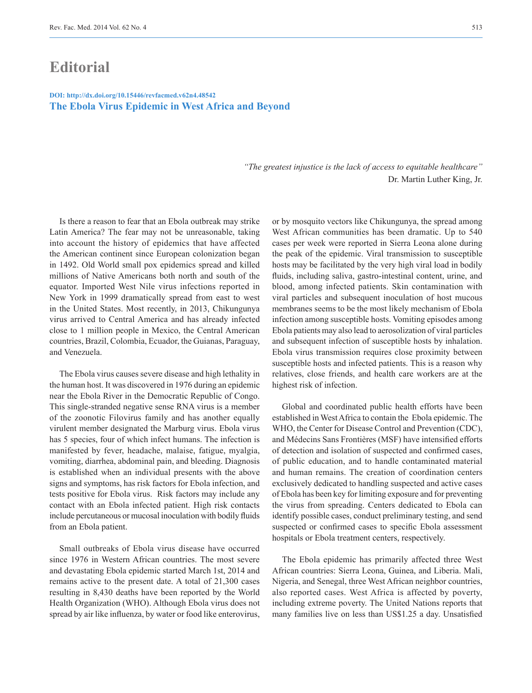## **Editorial**

## **The Ebola Virus Epidemic in West Africa and Beyond DOI: http://dx.doi.org/10.15446/revfacmed.v62n4.48542**

*"The greatest injustice is the lack of access to equitable healthcare"*  Dr. Martin Luther King, Jr.

Is there a reason to fear that an Ebola outbreak may strike Latin America? The fear may not be unreasonable, taking into account the history of epidemics that have affected the American continent since European colonization began in 1492. Old World small pox epidemics spread and killed millions of Native Americans both north and south of the equator. Imported West Nile virus infections reported in New York in 1999 dramatically spread from east to west in the United States. Most recently, in 2013, Chikungunya virus arrived to Central America and has already infected close to 1 million people in Mexico, the Central American countries, Brazil, Colombia, Ecuador, the Guianas, Paraguay, and Venezuela.

The Ebola virus causes severe disease and high lethality in the human host. It was discovered in 1976 during an epidemic near the Ebola River in the Democratic Republic of Congo. This single-stranded negative sense RNA virus is a member of the zoonotic Filovirus family and has another equally virulent member designated the Marburg virus. Ebola virus has 5 species, four of which infect humans. The infection is manifested by fever, headache, malaise, fatigue, myalgia, vomiting, diarrhea, abdominal pain, and bleeding. Diagnosis is established when an individual presents with the above signs and symptoms, has risk factors for Ebola infection, and tests positive for Ebola virus. Risk factors may include any contact with an Ebola infected patient. High risk contacts include percutaneous or mucosal inoculation with bodily fluids from an Ebola patient.

Small outbreaks of Ebola virus disease have occurred since 1976 in Western African countries. The most severe and devastating Ebola epidemic started March 1st, 2014 and remains active to the present date. A total of 21,300 cases resulting in 8,430 deaths have been reported by the World Health Organization (WHO). Although Ebola virus does not spread by air like influenza, by water or food like enterovirus,

or by mosquito vectors like Chikungunya, the spread among West African communities has been dramatic. Up to 540 cases per week were reported in Sierra Leona alone during the peak of the epidemic. Viral transmission to susceptible hosts may be facilitated by the very high viral load in bodily fluids, including saliva, gastro-intestinal content, urine, and blood, among infected patients. Skin contamination with viral particles and subsequent inoculation of host mucous membranes seems to be the most likely mechanism of Ebola infection among susceptible hosts. Vomiting episodes among Ebola patients may also lead to aerosolization of viral particles and subsequent infection of susceptible hosts by inhalation. Ebola virus transmission requires close proximity between susceptible hosts and infected patients. This is a reason why relatives, close friends, and health care workers are at the highest risk of infection.

Global and coordinated public health efforts have been established in West Africa to contain the Ebola epidemic. The WHO, the Center for Disease Control and Prevention (CDC), and Médecins Sans Frontières (MSF) have intensified efforts of detection and isolation of suspected and confirmed cases, of public education, and to handle contaminated material and human remains. The creation of coordination centers exclusively dedicated to handling suspected and active cases of Ebola has been key for limiting exposure and for preventing the virus from spreading. Centers dedicated to Ebola can identify possible cases, conduct preliminary testing, and send suspected or confirmed cases to specific Ebola assessment hospitals or Ebola treatment centers, respectively.

The Ebola epidemic has primarily affected three West African countries: Sierra Leona, Guinea, and Liberia. Mali, Nigeria, and Senegal, three West African neighbor countries, also reported cases. West Africa is affected by poverty, including extreme poverty. The United Nations reports that many families live on less than US\$1.25 a day. Unsatisfied